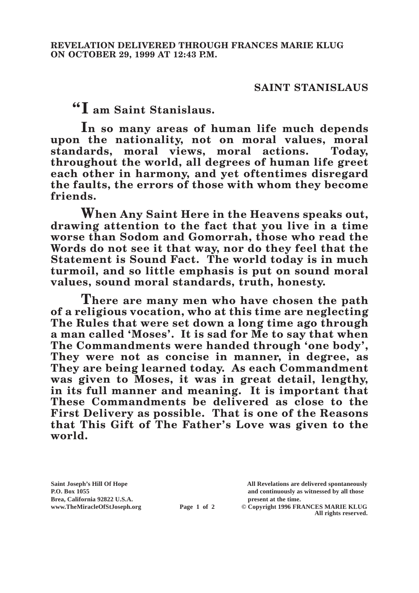## **SAINT STANISLAUS**

**"I am Saint Stanislaus.**

**In so many areas of human life much depends upon the nationality, not on moral values, moral standards, moral views, moral actions. Today, throughout the world, all degrees of human life greet each other in harmony, and yet oftentimes disregard the faults, the errors of those with whom they become friends.**

**When Any Saint Here in the Heavens speaks out, drawing attention to the fact that you live in a time worse than Sodom and Gomorrah, those who read the Words do not see it that way, nor do they feel that the Statement is Sound Fact. The world today is in much turmoil, and so little emphasis is put on sound moral values, sound moral standards, truth, honesty.**

**There are many men who have chosen the path of a religious vocation, who at this time are neglecting The Rules that were set down a long time ago through a man called 'Moses'. It is sad for Me to say that when The Commandments were handed through 'one body', They were not as concise in manner, in degree, as They are being learned today. As each Commandment was given to Moses, it was in great detail, lengthy, in its full manner and meaning. It is important that These Commandments be delivered as close to the First Delivery as possible. That is one of the Reasons that This Gift of The Father's Love was given to the world.**

**Brea, California 92822 U.S.A. present at the time.**<br> **present at the time.**<br> **present at the time.**<br> **present at the time.**<br> **present at the time.**<br> **present at the time.** 

**Saint Joseph's Hill Of Hope All Revelations are delivered spontaneously P.O. Box 1055 and continuously as witnessed by all those** 

**Page 1 of 2** © Copyright 1996 FRANCES MARIE KLUG **All rights reserved.**